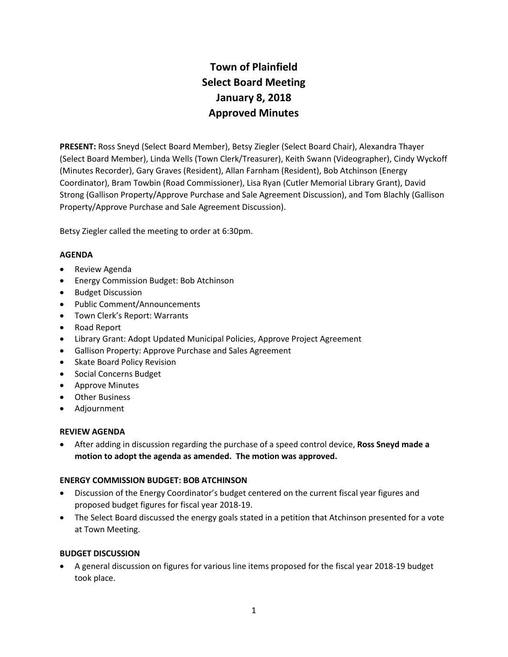# **Town of Plainfield Select Board Meeting January 8, 2018 Approved Minutes**

**PRESENT:** Ross Sneyd (Select Board Member), Betsy Ziegler (Select Board Chair), Alexandra Thayer (Select Board Member), Linda Wells (Town Clerk/Treasurer), Keith Swann (Videographer), Cindy Wyckoff (Minutes Recorder), Gary Graves (Resident), Allan Farnham (Resident), Bob Atchinson (Energy Coordinator), Bram Towbin (Road Commissioner), Lisa Ryan (Cutler Memorial Library Grant), David Strong (Gallison Property/Approve Purchase and Sale Agreement Discussion), and Tom Blachly (Gallison Property/Approve Purchase and Sale Agreement Discussion).

Betsy Ziegler called the meeting to order at 6:30pm.

# **AGENDA**

- Review Agenda
- Energy Commission Budget: Bob Atchinson
- Budget Discussion
- Public Comment/Announcements
- Town Clerk's Report: Warrants
- Road Report
- Library Grant: Adopt Updated Municipal Policies, Approve Project Agreement
- Gallison Property: Approve Purchase and Sales Agreement
- Skate Board Policy Revision
- Social Concerns Budget
- Approve Minutes
- Other Business
- Adjournment

## **REVIEW AGENDA**

 After adding in discussion regarding the purchase of a speed control device, **Ross Sneyd made a motion to adopt the agenda as amended. The motion was approved.**

## **ENERGY COMMISSION BUDGET: BOB ATCHINSON**

- Discussion of the Energy Coordinator's budget centered on the current fiscal year figures and proposed budget figures for fiscal year 2018-19.
- The Select Board discussed the energy goals stated in a petition that Atchinson presented for a vote at Town Meeting.

## **BUDGET DISCUSSION**

 A general discussion on figures for various line items proposed for the fiscal year 2018-19 budget took place.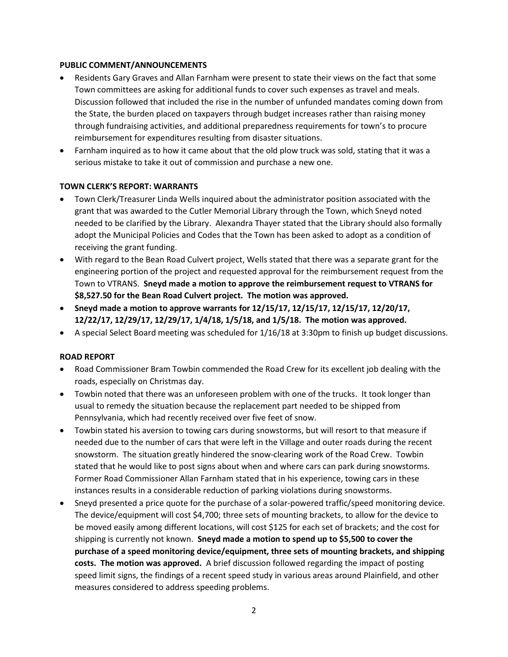## **PUBLIC COMMENT/ANNOUNCEMENTS**

- Residents Gary Graves and Allan Farnham were present to state their views on the fact that some Town committees are asking for additional funds to cover such expenses as travel and meals. Discussion followed that included the rise in the number of unfunded mandates coming down from the State, the burden placed on taxpayers through budget increases rather than raising money through fundraising activities, and additional preparedness requirements for town's to procure reimbursement for expenditures resulting from disaster situations.
- Farnham inquired as to how it came about that the old plow truck was sold, stating that it was a serious mistake to take it out of commission and purchase a new one.

## **TOWN CLERK'S REPORT: WARRANTS**

- Town Clerk/Treasurer Linda Wells inquired about the administrator position associated with the grant that was awarded to the Cutler Memorial Library through the Town, which Sneyd noted needed to be clarified by the Library. Alexandra Thayer stated that the Library should also formally adopt the Municipal Policies and Codes that the Town has been asked to adopt as a condition of receiving the grant funding.
- With regard to the Bean Road Culvert project, Wells stated that there was a separate grant for the engineering portion of the project and requested approval for the reimbursement request from the Town to VTRANS. **Sneyd made a motion to approve the reimbursement request to VTRANS for \$8,527.50 for the Bean Road Culvert project. The motion was approved.**
- **Sneyd made a motion to approve warrants for 12/15/17, 12/15/17, 12/15/17, 12/20/17, 12/22/17, 12/29/17, 12/29/17, 1/4/18, 1/5/18, and 1/5/18. The motion was approved.**
- A special Select Board meeting was scheduled for 1/16/18 at 3:30pm to finish up budget discussions.

#### **ROAD REPORT**

- Road Commissioner Bram Towbin commended the Road Crew for its excellent job dealing with the roads, especially on Christmas day.
- Towbin noted that there was an unforeseen problem with one of the trucks. It took longer than usual to remedy the situation because the replacement part needed to be shipped from Pennsylvania, which had recently received over five feet of snow.
- Towbin stated his aversion to towing cars during snowstorms, but will resort to that measure if needed due to the number of cars that were left in the Village and outer roads during the recent snowstorm. The situation greatly hindered the snow-clearing work of the Road Crew. Towbin stated that he would like to post signs about when and where cars can park during snowstorms. Former Road Commissioner Allan Farnham stated that in his experience, towing cars in these instances results in a considerable reduction of parking violations during snowstorms.
- Sneyd presented a price quote for the purchase of a solar-powered traffic/speed monitoring device. The device/equipment will cost \$4,700; three sets of mounting brackets, to allow for the device to be moved easily among different locations, will cost \$125 for each set of brackets; and the cost for shipping is currently not known. **Sneyd made a motion to spend up to \$5,500 to cover the purchase of a speed monitoring device/equipment, three sets of mounting brackets, and shipping costs. The motion was approved.** A brief discussion followed regarding the impact of posting speed limit signs, the findings of a recent speed study in various areas around Plainfield, and other measures considered to address speeding problems.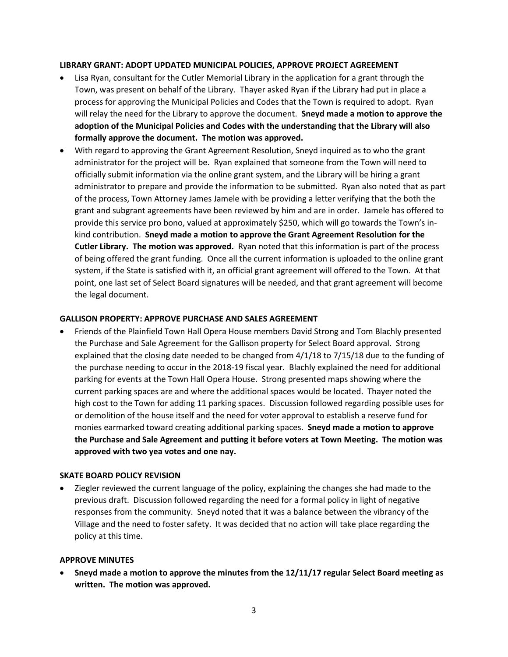### **LIBRARY GRANT: ADOPT UPDATED MUNICIPAL POLICIES, APPROVE PROJECT AGREEMENT**

- Lisa Ryan, consultant for the Cutler Memorial Library in the application for a grant through the Town, was present on behalf of the Library. Thayer asked Ryan if the Library had put in place a process for approving the Municipal Policies and Codes that the Town is required to adopt. Ryan will relay the need for the Library to approve the document. **Sneyd made a motion to approve the adoption of the Municipal Policies and Codes with the understanding that the Library will also formally approve the document. The motion was approved.**
- With regard to approving the Grant Agreement Resolution, Sneyd inquired as to who the grant administrator for the project will be. Ryan explained that someone from the Town will need to officially submit information via the online grant system, and the Library will be hiring a grant administrator to prepare and provide the information to be submitted. Ryan also noted that as part of the process, Town Attorney James Jamele with be providing a letter verifying that the both the grant and subgrant agreements have been reviewed by him and are in order. Jamele has offered to provide this service pro bono, valued at approximately \$250, which will go towards the Town's inkind contribution. **Sneyd made a motion to approve the Grant Agreement Resolution for the Cutler Library. The motion was approved.** Ryan noted that this information is part of the process of being offered the grant funding. Once all the current information is uploaded to the online grant system, if the State is satisfied with it, an official grant agreement will offered to the Town. At that point, one last set of Select Board signatures will be needed, and that grant agreement will become the legal document.

### **GALLISON PROPERTY: APPROVE PURCHASE AND SALES AGREEMENT**

 Friends of the Plainfield Town Hall Opera House members David Strong and Tom Blachly presented the Purchase and Sale Agreement for the Gallison property for Select Board approval. Strong explained that the closing date needed to be changed from 4/1/18 to 7/15/18 due to the funding of the purchase needing to occur in the 2018-19 fiscal year. Blachly explained the need for additional parking for events at the Town Hall Opera House. Strong presented maps showing where the current parking spaces are and where the additional spaces would be located. Thayer noted the high cost to the Town for adding 11 parking spaces. Discussion followed regarding possible uses for or demolition of the house itself and the need for voter approval to establish a reserve fund for monies earmarked toward creating additional parking spaces. **Sneyd made a motion to approve the Purchase and Sale Agreement and putting it before voters at Town Meeting. The motion was approved with two yea votes and one nay.** 

#### **SKATE BOARD POLICY REVISION**

 Ziegler reviewed the current language of the policy, explaining the changes she had made to the previous draft. Discussion followed regarding the need for a formal policy in light of negative responses from the community. Sneyd noted that it was a balance between the vibrancy of the Village and the need to foster safety. It was decided that no action will take place regarding the policy at this time.

#### **APPROVE MINUTES**

 **Sneyd made a motion to approve the minutes from the 12/11/17 regular Select Board meeting as written. The motion was approved.**